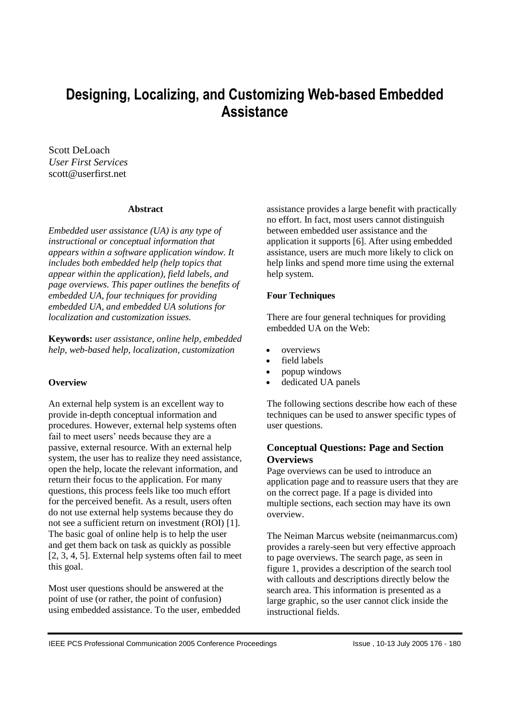# **Designing, Localizing, and Customizing Web-based Embedded Assistance**

Scott DeLoach *User First Services* scott@userfirst.net

#### **Abstract**

*Embedded user assistance (UA) is any type of instructional or conceptual information that appears within a software application window. It includes both embedded help (help topics that appear within the application), field labels, and page overviews. This paper outlines the benefits of embedded UA, four techniques for providing embedded UA, and embedded UA solutions for localization and customization issues.*

**Keywords:** *user assistance, online help, embedded help, web-based help, localization, customization*

#### **Overview**

An external help system is an excellent way to provide in-depth conceptual information and procedures. However, external help systems often fail to meet users' needs because they are a passive, external resource. With an external help system, the user has to realize they need assistance, open the help, locate the relevant information, and return their focus to the application. For many questions, this process feels like too much effort for the perceived benefit. As a result, users often do not use external help systems because they do not see a sufficient return on investment (ROI) [1]. The basic goal of online help is to help the user and get them back on task as quickly as possible [2, 3, 4, 5]. External help systems often fail to meet this goal.

Most user questions should be answered at the point of use (or rather, the point of confusion) using embedded assistance. To the user, embedded assistance provides a large benefit with practically no effort. In fact, most users cannot distinguish between embedded user assistance and the application it supports [6]. After using embedded assistance, users are much more likely to click on help links and spend more time using the external help system.

#### **Four Techniques**

There are four general techniques for providing embedded UA on the Web:

- overviews
- field labels
- popup windows
- dedicated UA panels

The following sections describe how each of these techniques can be used to answer specific types of user questions.

# **Conceptual Questions: Page and Section Overviews**

Page overviews can be used to introduce an application page and to reassure users that they are on the correct page. If a page is divided into multiple sections, each section may have its own overview.

The Neiman Marcus website (neimanmarcus.com) provides a rarely-seen but very effective approach to page overviews. The search page, as seen in figure 1, provides a description of the search tool with callouts and descriptions directly below the search area. This information is presented as a large graphic, so the user cannot click inside the instructional fields.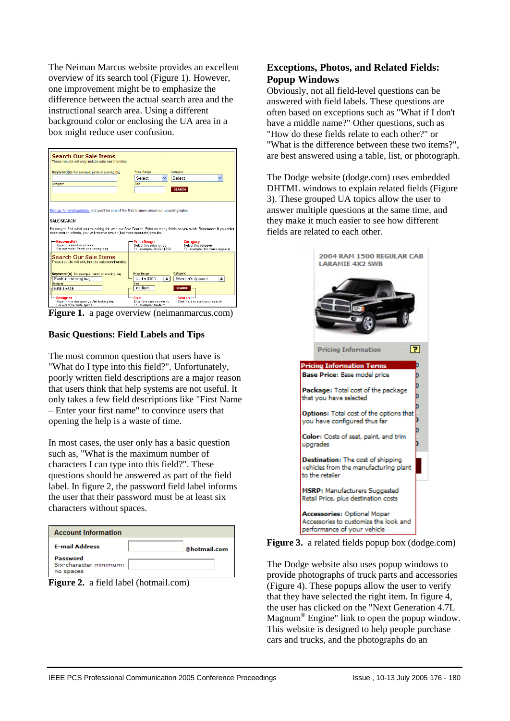The Neiman Marcus website provides an excellent overview of its search tool (Figure 1). However, one improvement might be to emphasize the difference between the actual search area and the instructional search area. Using a different background color or enclosing the UA area in a box might reduce user confusion.

| <b>Search Our Sale Ttems</b><br>These results will only include sale merchandise.                                                                                                                                                                                       |                                                                                                                                                                                                                                                                           |
|-------------------------------------------------------------------------------------------------------------------------------------------------------------------------------------------------------------------------------------------------------------------------|---------------------------------------------------------------------------------------------------------------------------------------------------------------------------------------------------------------------------------------------------------------------------|
| Keyword(s) For example: pants or evening bag<br>Designer                                                                                                                                                                                                                | <b>Price Range</b><br>Category<br>Select<br>Select<br>Size<br><b>SEARCH</b>                                                                                                                                                                                               |
| Sign up for email updates, and you'll be one of the first to know about our upcoming sales.<br>SALE SEARCH<br>more search criteria, you will receive fewer (but more accurate) results.<br>Keyword(s)<br>Type in a word or phrase.<br>For example: Pants or evening bag | It's easy to find what you're looking for with our Sale Search. Enter as many fields as you wish. Remember: If you enter<br><b>Price Range</b><br>Category<br>Select the price range.<br>Select the category.<br>For example: Under \$300<br>For example: Women's Apparel |
| Search Our Sale Items<br>These results will only include sale merchandise.<br>Keyword(s) For example: pants or evening bag<br><mark>↓</mark> Pants or evening bag<br><b>Designer</b><br>kate spade                                                                      | Category<br><b>Price Pange</b><br>٠<br>٠<br>Under \$300<br>Women's Apparel<br>Size<br><b>SEARCH</b><br>Medium                                                                                                                                                             |
| <b>Designer</b><br>Type in the designer you're looking for.<br>For example: kate spade                                                                                                                                                                                  | <b>Size</b><br>Search-<br>Enter the size you want.<br>Click here to start your search.<br>For example: Medium                                                                                                                                                             |

**Figure 1.** a page overview (neimanmarcus.com)

#### **Basic Questions: Field Labels and Tips**

The most common question that users have is "What do I type into this field?". Unfortunately, poorly written field descriptions are a major reason that users think that help systems are not useful. It only takes a few field descriptions like "First Name – Enter your first name" to convince users that opening the help is a waste of time.

In most cases, the user only has a basic question such as, "What is the maximum number of characters I can type into this field?". These questions should be answered as part of the field label. In figure 2, the password field label informs the user that their password must be at least six characters without spaces.

| <b>Account Information</b>                      |              |
|-------------------------------------------------|--------------|
| <b>E-mail Address</b>                           | @hotmail.com |
| Password<br>Six-character minimum;<br>no spaces |              |



# **Exceptions, Photos, and Related Fields: Popup Windows**

Obviously, not all field-level questions can be answered with field labels. These questions are often based on exceptions such as "What if I don't have a middle name?" Other questions, such as "How do these fields relate to each other?" or "What is the difference between these two items?", are best answered using a table, list, or photograph.

The Dodge website (dodge.com) uses embedded DHTML windows to explain related fields (Figure 3). These grouped UA topics allow the user to answer multiple questions at the same time, and they make it much easier to see how different fields are related to each other.



**Figure 3.** a related fields popup box (dodge.com)

The Dodge website also uses popup windows to provide photographs of truck parts and accessories (Figure 4). These popups allow the user to verify that they have selected the right item. In figure 4, the user has clicked on the "Next Generation 4.7L Magnum® Engine" link to open the popup window. This website is designed to help people purchase cars and trucks, and the photographs do an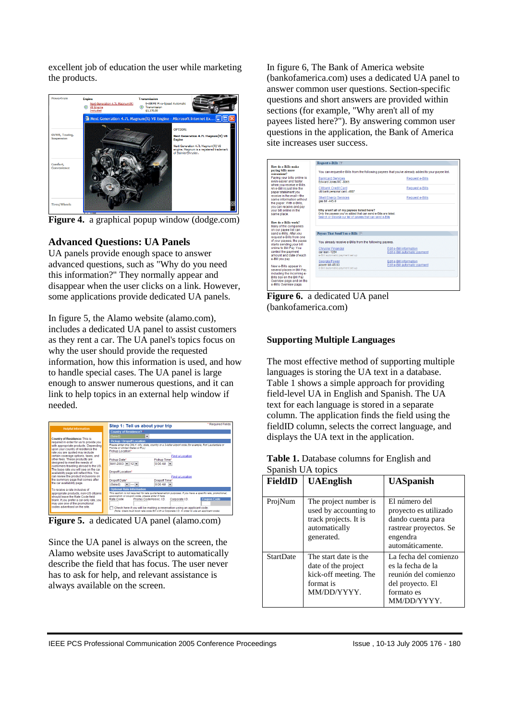excellent job of education the user while marketing the products.



**Figure 4.** a graphical popup window (dodge.com)

# **Advanced Questions: UA Panels**

UA panels provide enough space to answer advanced questions, such as "Why do you need this information?" They normally appear and disappear when the user clicks on a link. However, some applications provide dedicated UA panels.

In figure 5, the Alamo website (alamo.com), includes a dedicated UA panel to assist customers as they rent a car. The UA panel's topics focus on why the user should provide the requested information, how this information is used, and how to handle special cases. The UA panel is large enough to answer numerous questions, and it can link to help topics in an external help window if needed.

|                                                                                                                                                                                                                                                                                                                                                                                                                                                                                                                                                                                                                                                                                                                                                                                                                  | * Required Fields<br>Step 1: Tell us about your trip                                                                                                                                                                                                                                                                                                                                                                                                                                                                                                                                                                                                                                                                                                                                                                                                                                                                                               |
|------------------------------------------------------------------------------------------------------------------------------------------------------------------------------------------------------------------------------------------------------------------------------------------------------------------------------------------------------------------------------------------------------------------------------------------------------------------------------------------------------------------------------------------------------------------------------------------------------------------------------------------------------------------------------------------------------------------------------------------------------------------------------------------------------------------|----------------------------------------------------------------------------------------------------------------------------------------------------------------------------------------------------------------------------------------------------------------------------------------------------------------------------------------------------------------------------------------------------------------------------------------------------------------------------------------------------------------------------------------------------------------------------------------------------------------------------------------------------------------------------------------------------------------------------------------------------------------------------------------------------------------------------------------------------------------------------------------------------------------------------------------------------|
| <b>Helpful Information</b><br><b>Country of Residence: This is</b><br>required in order for us to provide you<br>with appropriate products. Depending<br>upon your country of residence the<br>rate you are quoted may include<br>certain coverage options, taxes, and<br>other fees. These products are<br>designed to meet the needs of<br>customers traveling abroad to the US.<br>The base rate you will see on the car<br>availability page will reflect this. You<br>can review the product inclusions on<br>the summary page that comes after<br>the car availability page.<br>To receive a rate inclusive of<br>appropriate products, non-US citizens<br>should leave the Rate Code field<br>blank. If you prefer a car-only rate, you<br>may use one of the promotional<br>codes advertised on the site | <b>Country of Residence?</b> *<br>(Select)<br><b>Pickup / Dropoff Location</b><br>Please enter one ONLY: city, state, country or a 3-letter aimort code (for example, Fort Lauderdale or<br>Florida or United States or FLL)<br>Pickup Location*<br>Find a Location<br>Pickup Date*<br>Pickup Time*<br>MAY-2003 - 12 -<br>$9:00$ AM $\rightarrow$<br>Dropoff Location*<br><b>Find a Location</b><br>Dropoff Date*<br>Dropoff Time*<br>$\bullet$<br>$9:00$ AM $\sim$<br>(Select)<br><b>Optional Rate Information</b><br>This section is not required for rate quote/reservation purposes. If you have a specific rate, promotional,<br>association or coupon code, please enter it here.<br><b>Coupon Code</b><br>Corporate I.D.<br>Rate Code<br>Promo Code/Assoc. I.D.<br>Check here if you will be making a reservation using an applicant code.<br>(Note: Users must book rate code BX with a Corporate I.D. in order to use an applicant code). |

**Figure 5.** a dedicated UA panel (alamo.com)

Since the UA panel is always on the screen, the Alamo website uses JavaScript to automatically describe the field that has focus. The user never has to ask for help, and relevant assistance is always available on the screen.

In figure 6, The Bank of America website (bankofamerica.com) uses a dedicated UA panel to answer common user questions. Section-specific questions and short answers are provided within sections (for example, "Why aren't all of my payees listed here?"). By answering common user questions in the application, the Bank of America site increases user success.

| How do e-Bills make                                                               | Request e-Bills [?]                                                                                                                                                     |                               |  |
|-----------------------------------------------------------------------------------|-------------------------------------------------------------------------------------------------------------------------------------------------------------------------|-------------------------------|--|
| paving bills more<br>convenient?                                                  | You can request e-Bills from the following payees that you've already added to your payee list.                                                                         |                               |  |
| Paving your bills online is<br>even easier and faster                             | <b>Bankcard Services</b><br><b>Edward Jones MC -8065</b>                                                                                                                | Request e-Bills               |  |
| when you receive e-Bills.<br>An e-Bill is just like the<br>paper statement you    | Citibank Credit Card<br>citi bank personal card -4687                                                                                                                   | Request e-Bills               |  |
| receive in the mail-the<br>same information without<br>the paper. With e-Bills.   | <b>Shell Energy Services</b><br>gas bill-445-9                                                                                                                          | Request e-Bills               |  |
| you can receive and pay<br>vour bill online in the<br>same place.                 | Why aren't all of my payees listed here?<br>Only the payees you've added that can send e-Bills are listed.<br>Search or browse our list of payees that can send e-Bills |                               |  |
| How do e-Bills work?<br>Many of the companies                                     |                                                                                                                                                                         |                               |  |
| on our payee list can<br>send e-Bills, After vou                                  | Pavees That Send You e-Bills ?                                                                                                                                          |                               |  |
| request e-Bills from one<br>of your payees, the payee<br>starts sending your bill | You already receive e-Bills from the following payees.                                                                                                                  |                               |  |
| online to Bill Pav. You                                                           | <b>Chrysler Financial</b>                                                                                                                                               | Edit e-Bill information       |  |
| control the payment                                                               | car loan -1284                                                                                                                                                          | Edit e-Bill automatic payment |  |
| amount and date of each                                                           | e-Bill automatic payment set up                                                                                                                                         |                               |  |
| e-Bill you pay.                                                                   | Georgia Power                                                                                                                                                           | Edit e-Bill information       |  |
| New e-Bills appear in                                                             | nower bill -05 03                                                                                                                                                       | Edit e-Bill automatic payment |  |
| several places in Bill Pav.                                                       | e-Bill automatic payment set up                                                                                                                                         |                               |  |
| including the Incoming e-                                                         |                                                                                                                                                                         |                               |  |
| Bills box on the Bill Pay                                                         |                                                                                                                                                                         |                               |  |
| Overview page and on the                                                          |                                                                                                                                                                         |                               |  |

**Figure 6.** a dedicated UA panel (bankofamerica.com)

# **Supporting Multiple Languages**

The most effective method of supporting multiple languages is storing the UA text in a database. Table 1 shows a simple approach for providing field-level UA in English and Spanish. The UA text for each language is stored in a separate column. The application finds the field using the fieldID column, selects the correct language, and displays the UA text in the application.

#### **Table 1.** Database columns for English and Spanish UA topics

| FieldID          | <b>UAEnglish</b>                                                                                       | <b>UASpanish</b>                                                                                                      |
|------------------|--------------------------------------------------------------------------------------------------------|-----------------------------------------------------------------------------------------------------------------------|
| ProjNum          | The project number is<br>used by accounting to<br>track projects. It is<br>automatically<br>generated. | El número del<br>proyecto es utilizado<br>dando cuenta para<br>rastrear proyectos. Se<br>engendra<br>automáticamente. |
| <b>StartDate</b> | The start date is the<br>date of the project<br>kick-off meeting. The<br>format is<br>MM/DD/YYYY.      | La fecha del comienzo<br>es la fecha de la<br>reunión del comienzo<br>del proyecto. El<br>formato es<br>MM/DD/YYYY.   |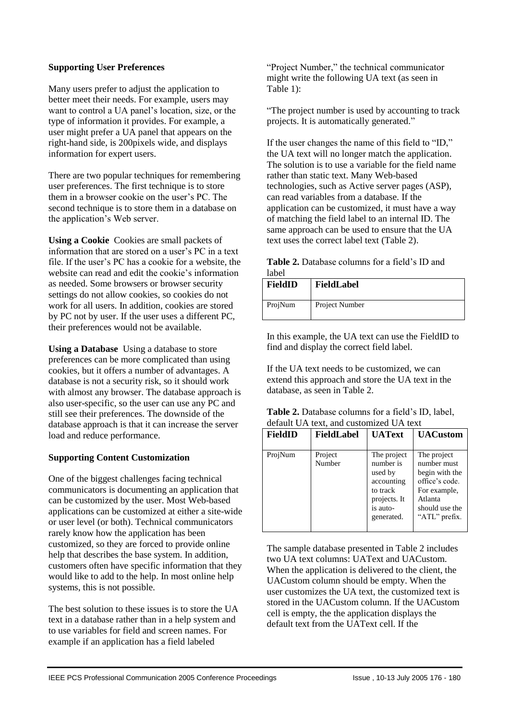#### **Supporting User Preferences**

Many users prefer to adjust the application to better meet their needs. For example, users may want to control a UA panel's location, size, or the type of information it provides. For example, a user might prefer a UA panel that appears on the right-hand side, is 200pixels wide, and displays information for expert users.

There are two popular techniques for remembering user preferences. The first technique is to store them in a browser cookie on the user's PC. The second technique is to store them in a database on the application's Web server.

**Using a Cookie** Cookies are small packets of information that are stored on a user's PC in a text file. If the user's PC has a cookie for a website, the website can read and edit the cookie's information as needed. Some browsers or browser security settings do not allow cookies, so cookies do not work for all users. In addition, cookies are stored by PC not by user. If the user uses a different PC, their preferences would not be available.

**Using a Database** Using a database to store preferences can be more complicated than using cookies, but it offers a number of advantages. A database is not a security risk, so it should work with almost any browser. The database approach is also user-specific, so the user can use any PC and still see their preferences. The downside of the database approach is that it can increase the server load and reduce performance.

# **Supporting Content Customization**

One of the biggest challenges facing technical communicators is documenting an application that can be customized by the user. Most Web-based applications can be customized at either a site-wide or user level (or both). Technical communicators rarely know how the application has been customized, so they are forced to provide online help that describes the base system. In addition, customers often have specific information that they would like to add to the help. In most online help systems, this is not possible.

The best solution to these issues is to store the UA text in a database rather than in a help system and to use variables for field and screen names. For example if an application has a field labeled

"Project Number," the technical communicator might write the following UA text (as seen in Table 1):

"The project number is used by accounting to track projects. It is automatically generated."

If the user changes the name of this field to "ID," the UA text will no longer match the application. The solution is to use a variable for the field name rather than static text. Many Web-based technologies, such as Active server pages (ASP), can read variables from a database. If the application can be customized, it must have a way of matching the field label to an internal ID. The same approach can be used to ensure that the UA text uses the correct label text (Table 2).

**Table 2.** Database columns for a field's ID and label

| <b>FieldID</b> | FieldLabel     |
|----------------|----------------|
| ProjNum        | Project Number |

In this example, the UA text can use the FieldID to find and display the correct field label.

If the UA text needs to be customized, we can extend this approach and store the UA text in the database, as seen in Table 2.

| <b>Table 2.</b> Database columns for a field's ID, label, |
|-----------------------------------------------------------|
| default UA text, and customized UA text                   |

| FieldID | <b>FieldLabel</b> | <b>UAText</b>                                                                                           | <b>UACustom</b>                                                                                                              |
|---------|-------------------|---------------------------------------------------------------------------------------------------------|------------------------------------------------------------------------------------------------------------------------------|
| ProjNum | Project<br>Number | The project<br>number is<br>used by<br>accounting<br>to track<br>projects. It<br>is auto-<br>generated. | The project<br>number must<br>begin with the<br>office's code.<br>For example,<br>Atlanta<br>should use the<br>"ATL" prefix. |

The sample database presented in Table 2 includes two UA text columns: UAText and UACustom. When the application is delivered to the client, the UACustom column should be empty. When the user customizes the UA text, the customized text is stored in the UACustom column. If the UACustom cell is empty, the the application displays the default text from the UAText cell. If the